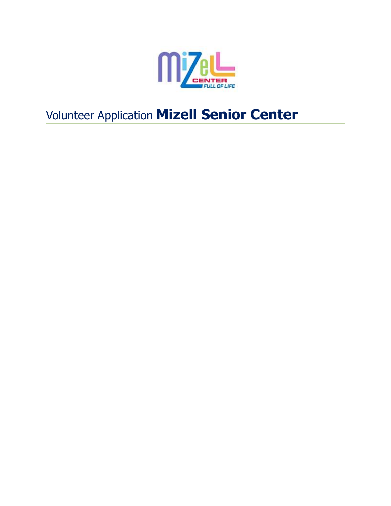

# Volunteer Application **Mizell Senior Center**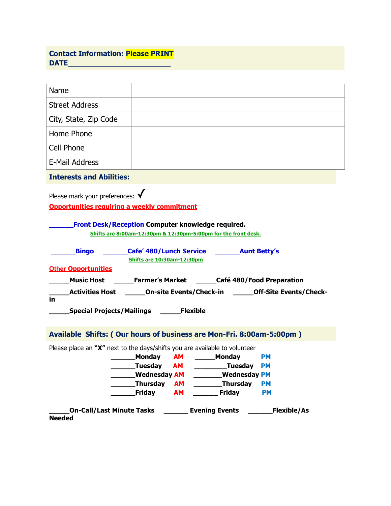## **Contact Information: Please PRINT DATE\_\_\_\_\_\_\_\_\_\_\_\_\_\_\_\_\_\_\_\_\_\_\_**

| Name                                                                                                    |                                   |           |                                                                |                                                                                |
|---------------------------------------------------------------------------------------------------------|-----------------------------------|-----------|----------------------------------------------------------------|--------------------------------------------------------------------------------|
| <b>Street Address</b>                                                                                   |                                   |           |                                                                |                                                                                |
| City, State, Zip Code                                                                                   |                                   |           |                                                                |                                                                                |
| Home Phone                                                                                              |                                   |           |                                                                |                                                                                |
| Cell Phone                                                                                              |                                   |           |                                                                |                                                                                |
| <b>E-Mail Address</b>                                                                                   |                                   |           |                                                                |                                                                                |
| <b>Interests and Abilities:</b>                                                                         |                                   |           |                                                                |                                                                                |
| <b>Opportunities requiring a weekly commitment</b><br>Front Desk/Reception Computer knowledge required. |                                   |           | Shifts are 8:00am-12:30pm & 12:30pm-5:00pm for the front desk. |                                                                                |
| Bingo<br><b>Other Opportunities</b>                                                                     | <b>Shifts are 10:30am-12:30pm</b> |           | Cafe' 480/Lunch Service ________ Aunt Betty's                  |                                                                                |
| Music Host _________ Farmer's Market _______ Café 480/Food Preparation                                  |                                   |           |                                                                |                                                                                |
| in                                                                                                      |                                   |           |                                                                | Activities Host ________On-site Events/Check-in ________Off-Site Events/Check- |
| Special Projects/Mailings ______Flexible                                                                |                                   |           |                                                                |                                                                                |
| Available Shifts: (Our hours of business are Mon-Fri. 8:00am-5:00pm)                                    |                                   |           |                                                                |                                                                                |
| Please place an " $X''$ next to the days/shifts you are available to volunteer                          |                                   |           |                                                                |                                                                                |
|                                                                                                         | Monday AM _____ Monday            |           |                                                                | <b>PM</b>                                                                      |
|                                                                                                         | Tuesday AM                        |           | _Tuesday                                                       | <b>PM</b>                                                                      |
|                                                                                                         | __Wednesday AM                    |           | <b>Wednesday PM</b>                                            |                                                                                |
|                                                                                                         | _Thursday                         | <b>AM</b> | <b>Example 21</b> Thursday                                     | <b>PM</b>                                                                      |
|                                                                                                         | <b>Friday</b>                     | <b>AM</b> | <b>Friday</b>                                                  | <b>PM</b>                                                                      |
| On-Call/Last Minute Tasks _________ Evening Events __________ Flexible/As<br><b>Needed</b>              |                                   |           |                                                                |                                                                                |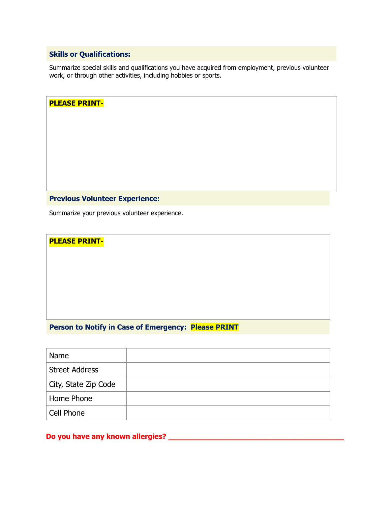## **Skills or Qualifications:**

**PLEASE PRINT-**

Summarize special skills and qualifications you have acquired from employment, previous volunteer work, or through other activities, including hobbies or sports.

| <b>PLEASE PRINT-</b>                          |
|-----------------------------------------------|
|                                               |
|                                               |
|                                               |
|                                               |
|                                               |
|                                               |
| <b>Previous Volunteer Experience:</b>         |
|                                               |
| Summarize your previous volunteer experience. |

**Person to Notify in Case of Emergency: Please PRINT**

| Name                  |  |
|-----------------------|--|
| <b>Street Address</b> |  |
| City, State Zip Code  |  |
| Home Phone            |  |
| Cell Phone            |  |

**Do you have any known allergies? \_\_\_\_\_\_\_\_\_\_\_\_\_\_\_\_\_\_\_\_\_\_\_\_\_\_\_\_\_\_\_\_\_\_\_\_**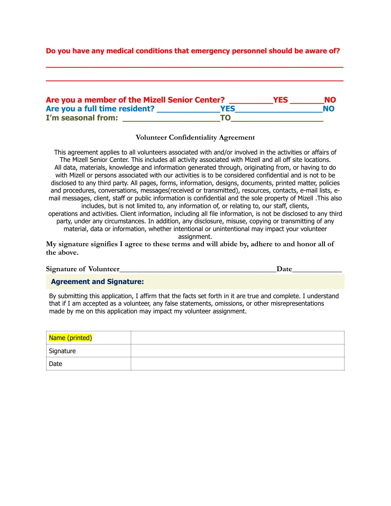### **Do you have any medical conditions that emergency personnel should be aware of?**

**\_\_\_\_\_\_\_\_\_\_\_\_\_\_\_\_\_\_\_\_\_\_\_\_\_\_\_\_\_\_\_\_\_\_\_\_\_\_\_\_\_\_\_\_\_\_\_\_\_\_\_\_\_\_\_\_\_\_\_\_\_**

**\_\_\_\_\_\_\_\_\_\_\_\_\_\_\_\_\_\_\_\_\_\_\_\_\_\_\_\_\_\_\_\_\_\_\_\_\_\_\_\_\_\_\_\_\_\_\_\_\_\_\_\_\_\_\_\_\_\_\_\_\_**

| Are you a member of the Mizell Senior Center? |            | <b>YES</b> | NO.       |
|-----------------------------------------------|------------|------------|-----------|
| Are you a full time resident?                 | <b>YES</b> |            | <b>NO</b> |
| I'm seasonal from:                            | TO         |            |           |

#### **Volunteer Confidentiality Agreement**

This agreement applies to all volunteers associated with and/or involved in the activities or affairs of The Mizell Senior Center. This includes all activity associated with Mizell and all off site locations. All data, materials, knowledge and information generated through, originating from, or having to do with Mizell or persons associated with our activities is to be considered confidential and is not to be disclosed to any third party. All pages, forms, information, designs, documents, printed matter, policies and procedures, conversations, messages(received or transmitted), resources, contacts, e-mail lists, email messages, client, staff or public information is confidential and the sole property of Mizell .This also includes, but is not limited to, any information of, or relating to, our staff, clients, operations and activities. Client information, including all file information, is not be disclosed to any third party, under any circumstances. In addition, any disclosure, misuse, copying or transmitting of any

material, data or information, whether intentional or unintentional may impact your volunteer assignment.

**My signature signifies I agree to these terms and will abide by, adhere to and honor all of the above.**

| <b>Signature of Volunteer_</b> |  |
|--------------------------------|--|
|                                |  |
|                                |  |

**Agreement and Signature:**

By submitting this application, I affirm that the facts set forth in it are true and complete. I understand that if I am accepted as a volunteer, any false statements, omissions, or other misrepresentations made by me on this application may impact my volunteer assignment.

| Name (printed) |  |
|----------------|--|
| Signature      |  |
| Date           |  |